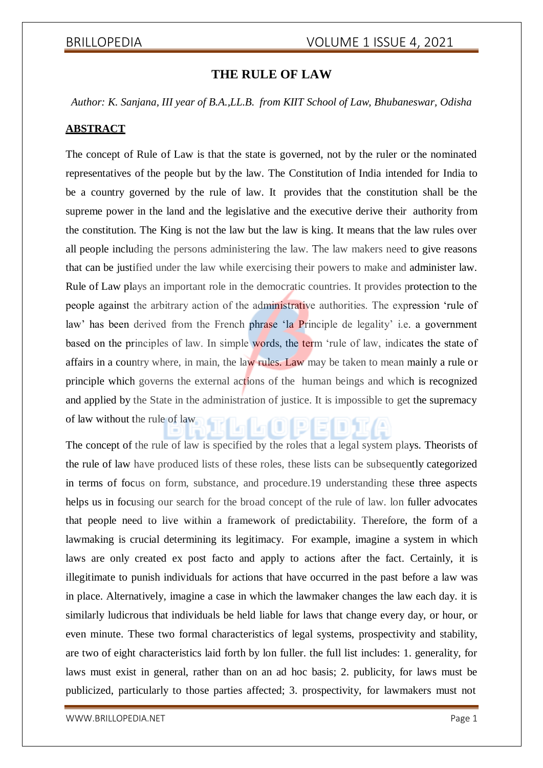## **THE RULE OF LAW**

*Author: K. Sanjana, III year of B.A.,LL.B. from KIIT School of Law, Bhubaneswar, Odisha*

### **ABSTRACT**

The concept of Rule of Law is that the state is governed, not by the ruler or the nominated representatives of the people but by the law. The Constitution of India intended for India to be a country governed by the rule of law. It provides that the constitution shall be the supreme power in the land and the legislative and the executive derive their authority from the constitution. The King is not the law but the law is king. It means that the law rules over all people including the persons administering the law. The law makers need to give reasons that can be justified under the law while exercising their powers to make and administer law. Rule of Law plays an important role in the democratic countries. It provides protection to the people against the arbitrary action of the administrative authorities. The expression 'rule of law' has been derived from the French phrase 'la Principle de legality' i.e. a government based on the principles of law. In simple words, the term 'rule of law, indicates the state of affairs in a country where, in main, the law rules. Law may be taken to mean mainly a rule or principle which governs the external actions of the human beings and which is recognized and applied by the State in the administration of justice. It is impossible to get the supremacy of law without the rule of law

The concept of the rule of law is specified by the roles that a legal system plays. Theorists of the rule of law have produced lists of these roles, these lists can be subsequently categorized in terms of focus on form, substance, and procedure.19 understanding these three aspects helps us in focusing our search for the broad concept of the rule of law. Ion fuller advocates that people need to live within a framework of predictability. Therefore, the form of a lawmaking is crucial determining its legitimacy. For example, imagine a system in which laws are only created ex post facto and apply to actions after the fact. Certainly, it is illegitimate to punish individuals for actions that have occurred in the past before a law was in place. Alternatively, imagine a case in which the lawmaker changes the law each day. it is similarly ludicrous that individuals be held liable for laws that change every day, or hour, or even minute. These two formal characteristics of legal systems, prospectivity and stability, are two of eight characteristics laid forth by lon fuller. the full list includes: 1. generality, for laws must exist in general, rather than on an ad hoc basis; 2. publicity, for laws must be publicized, particularly to those parties affected; 3. prospectivity, for lawmakers must not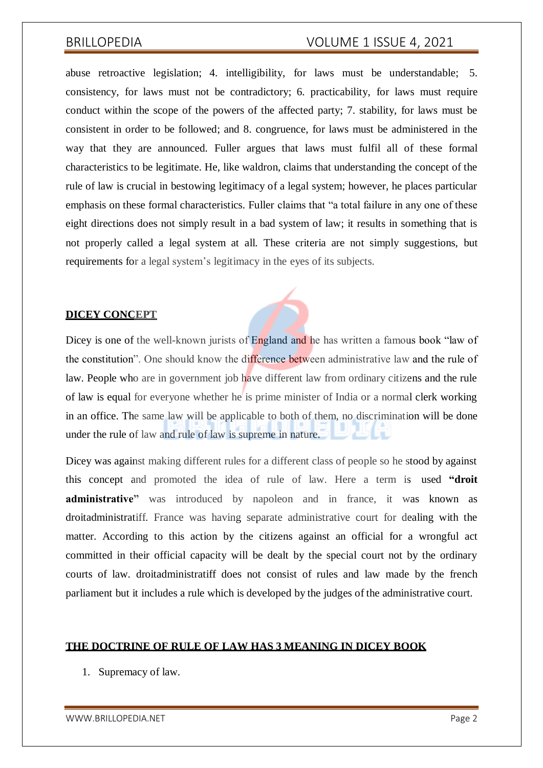# BRILLOPEDIA VOLUME 1 ISSUE 4, 2021

abuse retroactive legislation; 4. intelligibility, for laws must be understandable; 5. consistency, for laws must not be contradictory; 6. practicability, for laws must require conduct within the scope of the powers of the affected party; 7. stability, for laws must be consistent in order to be followed; and 8. congruence, for laws must be administered in the way that they are announced. Fuller argues that laws must fulfil all of these formal characteristics to be legitimate. He, like waldron, claims that understanding the concept of the rule of law is crucial in bestowing legitimacy of a legal system; however, he places particular emphasis on these formal characteristics. Fuller claims that "a total failure in any one of these eight directions does not simply result in a bad system of law; it results in something that is not properly called a legal system at all. These criteria are not simply suggestions, but requirements for a legal system's legitimacy in the eyes of its subjects.

### **DICEY CONCEPT**

Dicey is one of the well-known jurists of England and he has written a famous book "law of the constitution". One should know the difference between administrative law and the rule of law. People who are in government job have different law from ordinary citizens and the rule of law is equal for everyone whether he is prime minister of India or a normal clerk working in an office. The same law will be applicable to both of them, no discrimination will be done under the rule of law and rule of law is supreme in nature.

Dicey was against making different rules for a different class of people so he stood by against this concept and promoted the idea of rule of law. Here a term is used **"droit administrative**" was introduced by napoleon and in france, it was known as droitadministratiff. France was having separate administrative court for dealing with the matter. According to this action by the citizens against an official for a wrongful act committed in their official capacity will be dealt by the special court not by the ordinary courts of law. droitadministratiff does not consist of rules and law made by the french parliament but it includes a rule which is developed by the judges of the administrative court.

### **THE DOCTRINE OF RULE OF LAW HAS 3 MEANING IN DICEY BOOK**

1. Supremacy of law.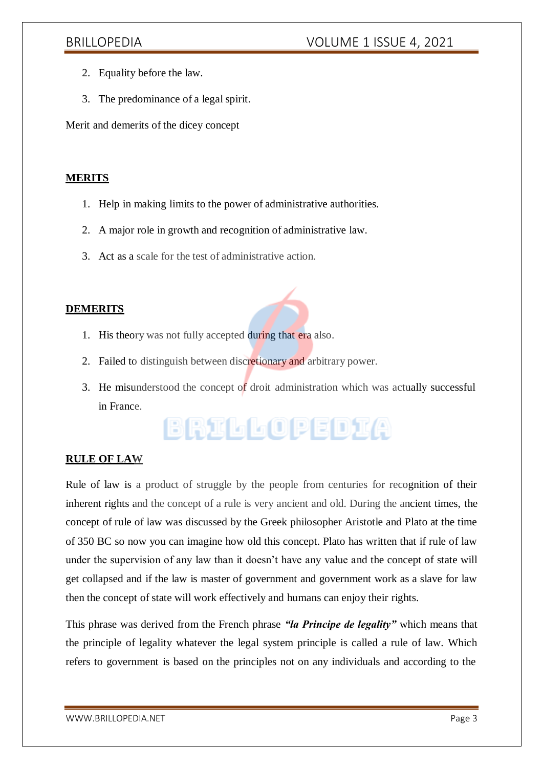- 2. Equality before the law.
- 3. The predominance of a legal spirit.

Merit and demerits of the dicey concept

### **MERITS**

- 1. Help in making limits to the power of administrative authorities.
- 2. A major role in growth and recognition of administrative law.
- 3. Act as a scale for the test of administrative action.

### **DEMERITS**

- 1. His theory was not fully accepted during that era also.
- 2. Failed to distinguish between discretionary and arbitrary power.
- 3. He misunderstood the concept of droit administration which was actually successful in France.

# **BRILLOPEDIA**

### **RULE OF LAW**

Rule of law is a product of struggle by the people from centuries for recognition of their inherent rights and the concept of a rule is very ancient and old. During the ancient times, the concept of rule of law was discussed by the Greek philosopher Aristotle and Plato at the time of 350 BC so now you can imagine how old this concept. Plato has written that if rule of law under the supervision of any law than it doesn't have any value and the concept of state will get collapsed and if the law is master of government and government work as a slave for law then the concept of state will work effectively and humans can enjoy their rights.

This phrase was derived from the French phrase *"la Principe de legality"* which means that the principle of legality whatever the legal system principle is called a rule of law. Which refers to government is based on the principles not on any individuals and according to the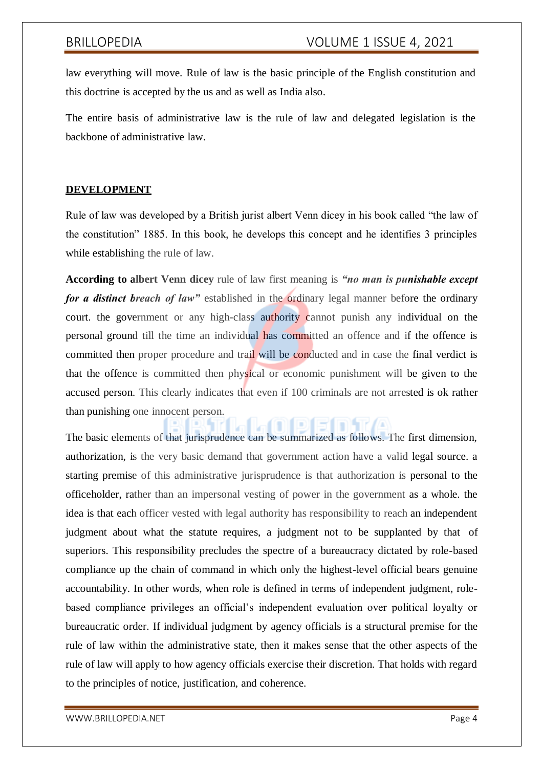law everything will move. Rule of law is the basic principle of the English constitution and this doctrine is accepted by the us and as well as India also.

The entire basis of administrative law is the rule of law and delegated legislation is the backbone of administrative law.

### **DEVELOPMENT**

Rule of law was developed by a British jurist albert Venn dicey in his book called "the law of the constitution" 1885. In this book, he develops this concept and he identifies 3 principles while establishing the rule of law.

**According to albert Venn dicey** rule of law first meaning is *"no man is punishable except for a distinct breach of law*" established in the ordinary legal manner before the ordinary court. the government or any high-class authority cannot punish any individual on the personal ground till the time an individual has committed an offence and if the offence is committed then proper procedure and trail will be conducted and in case the final verdict is that the offence is committed then physical or economic punishment will be given to the accused person. This clearly indicates that even if 100 criminals are not arrested is ok rather than punishing one innocent person.

The basic elements of that jurisprudence can be summarized as follows. The first dimension, authorization, is the very basic demand that government action have a valid legal source. a starting premise of this administrative jurisprudence is that authorization is personal to the officeholder, rather than an impersonal vesting of power in the government as a whole. the idea is that each officer vested with legal authority has responsibility to reach an independent judgment about what the statute requires, a judgment not to be supplanted by that of superiors. This responsibility precludes the spectre of a bureaucracy dictated by role-based compliance up the chain of command in which only the highest-level official bears genuine accountability. In other words, when role is defined in terms of independent judgment, rolebased compliance privileges an official's independent evaluation over political loyalty or bureaucratic order. If individual judgment by agency officials is a structural premise for the rule of law within the administrative state, then it makes sense that the other aspects of the rule of law will apply to how agency officials exercise their discretion. That holds with regard to the principles of notice, justification, and coherence.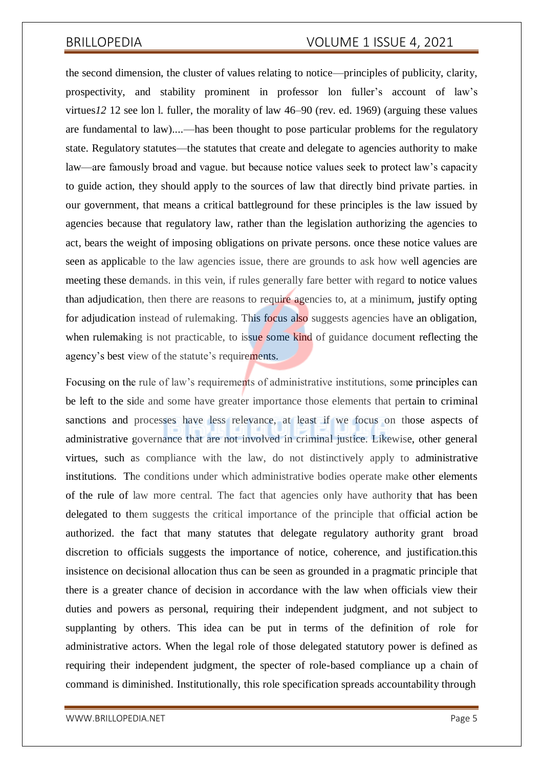# BRILLOPEDIA VOLUME 1 ISSUE 4, 2021

the second dimension, the cluster of values relating to notice—principles of publicity, clarity, prospectivity, and stability prominent in professor lon fuller's account of law's virtues*12* 12 see lon l. fuller, the morality of law 46–90 (rev. ed. 1969) (arguing these values are fundamental to law).*...*—has been thought to pose particular problems for the regulatory state. Regulatory statutes—the statutes that create and delegate to agencies authority to make law—are famously broad and vague. but because notice values seek to protect law's capacity to guide action, they should apply to the sources of law that directly bind private parties. in our government, that means a critical battleground for these principles is the law issued by agencies because that regulatory law, rather than the legislation authorizing the agencies to act, bears the weight of imposing obligations on private persons. once these notice values are seen as applicable to the law agencies issue, there are grounds to ask how well agencies are meeting these demands. in this vein, if rules generally fare better with regard to notice values than adjudication, then there are reasons to require agencies to, at a minimum, justify opting for adjudication instead of rulemaking. This focus also suggests agencies have an obligation, when rulemaking is not practicable, to issue some kind of guidance document reflecting the agency's best view of the statute's requirements.

Focusing on the rule of law's requirements of administrative institutions, some principles can be left to the side and some have greater importance those elements that pertain to criminal sanctions and processes have less relevance, at least if we focus on those aspects of administrative governance that are not involved in criminal justice. Likewise, other general virtues, such as compliance with the law, do not distinctively apply to administrative institutions. The conditions under which administrative bodies operate make other elements of the rule of law more central. The fact that agencies only have authority that has been delegated to them suggests the critical importance of the principle that official action be authorized. the fact that many statutes that delegate regulatory authority grant broad discretion to officials suggests the importance of notice, coherence, and justification.this insistence on decisional allocation thus can be seen as grounded in a pragmatic principle that there is a greater chance of decision in accordance with the law when officials view their duties and powers as personal, requiring their independent judgment, and not subject to supplanting by others. This idea can be put in terms of the definition of role for administrative actors. When the legal role of those delegated statutory power is defined as requiring their independent judgment, the specter of role-based compliance up a chain of command is diminished. Institutionally, this role specification spreads accountability through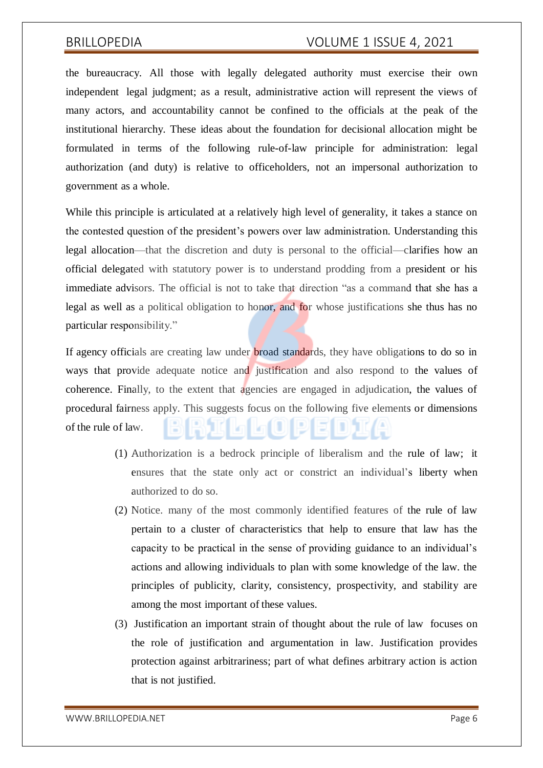# BRILLOPEDIA VOLUME 1 ISSUE 4, 2021

the bureaucracy. All those with legally delegated authority must exercise their own independent legal judgment; as a result, administrative action will represent the views of many actors, and accountability cannot be confined to the officials at the peak of the institutional hierarchy. These ideas about the foundation for decisional allocation might be formulated in terms of the following rule-of-law principle for administration: legal authorization (and duty) is relative to officeholders, not an impersonal authorization to government as a whole.

While this principle is articulated at a relatively high level of generality, it takes a stance on the contested question of the president's powers over law administration. Understanding this legal allocation—that the discretion and duty is personal to the official—clarifies how an official delegated with statutory power is to understand prodding from a president or his immediate advisors. The official is not to take that direction "as a command that she has a legal as well as a political obligation to honor, and for whose justifications she thus has no particular responsibility."

If agency officials are creating law under **broad standards**, they have obligations to do so in ways that provide adequate notice and justification and also respond to the values of coherence. Finally, to the extent that agencies are engaged in adjudication, the values of procedural fairness apply. This suggests focus on the following five elements or dimensions of the rule of law.

- (1) Authorization is a bedrock principle of liberalism and the rule of law; it ensures that the state only act or constrict an individual's liberty when authorized to do so.
- (2) Notice. many of the most commonly identified features of the rule of law pertain to a cluster of characteristics that help to ensure that law has the capacity to be practical in the sense of providing guidance to an individual's actions and allowing individuals to plan with some knowledge of the law. the principles of publicity, clarity, consistency, prospectivity, and stability are among the most important of these values.
- (3) Justification an important strain of thought about the rule of law focuses on the role of justification and argumentation in law. Justification provides protection against arbitrariness; part of what defines arbitrary action is action that is not justified.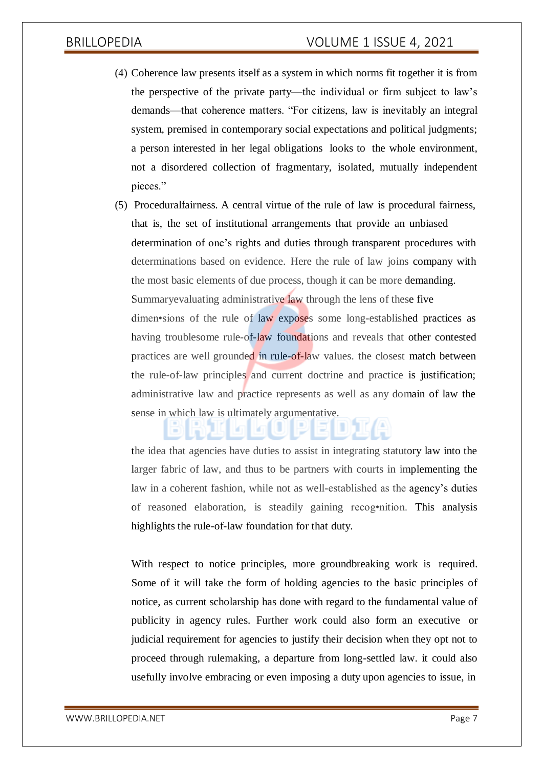- (4) Coherence law presents itself as a system in which norms fit together it is from the perspective of the private party—the individual or firm subject to law's demands—that coherence matters. "For citizens, law is inevitably an integral system, premised in contemporary social expectations and political judgments; a person interested in her legal obligations looks to the whole environment, not a disordered collection of fragmentary, isolated, mutually independent pieces."
- (5) Proceduralfairness*.* A central virtue of the rule of law is procedural fairness, that is, the set of institutional arrangements that provide an unbiased determination of one's rights and duties through transparent procedures with determinations based on evidence. Here the rule of law joins company with the most basic elements of due process, though it can be more demanding. Summaryevaluating administrative law through the lens of these five dimen•sions of the rule of law exposes some long-established practices as having troublesome rule-of-law foundations and reveals that other contested practices are well grounded in rule-of-law values. the closest match between the rule-of-law principles and current doctrine and practice is justification; administrative law and practice represents as well as any domain of law the sense in which law is ultimately argumentative.

the idea that agencies have duties to assist in integrating statutory law into the larger fabric of law, and thus to be partners with courts in implementing the law in a coherent fashion, while not as well-established as the agency's duties of reasoned elaboration, is steadily gaining recog•nition. This analysis highlights the rule-of-law foundation for that duty.

With respect to notice principles, more groundbreaking work is required. Some of it will take the form of holding agencies to the basic principles of notice, as current scholarship has done with regard to the fundamental value of publicity in agency rules. Further work could also form an executive or judicial requirement for agencies to justify their decision when they opt not to proceed through rulemaking, a departure from long-settled law. it could also usefully involve embracing or even imposing a duty upon agencies to issue, in